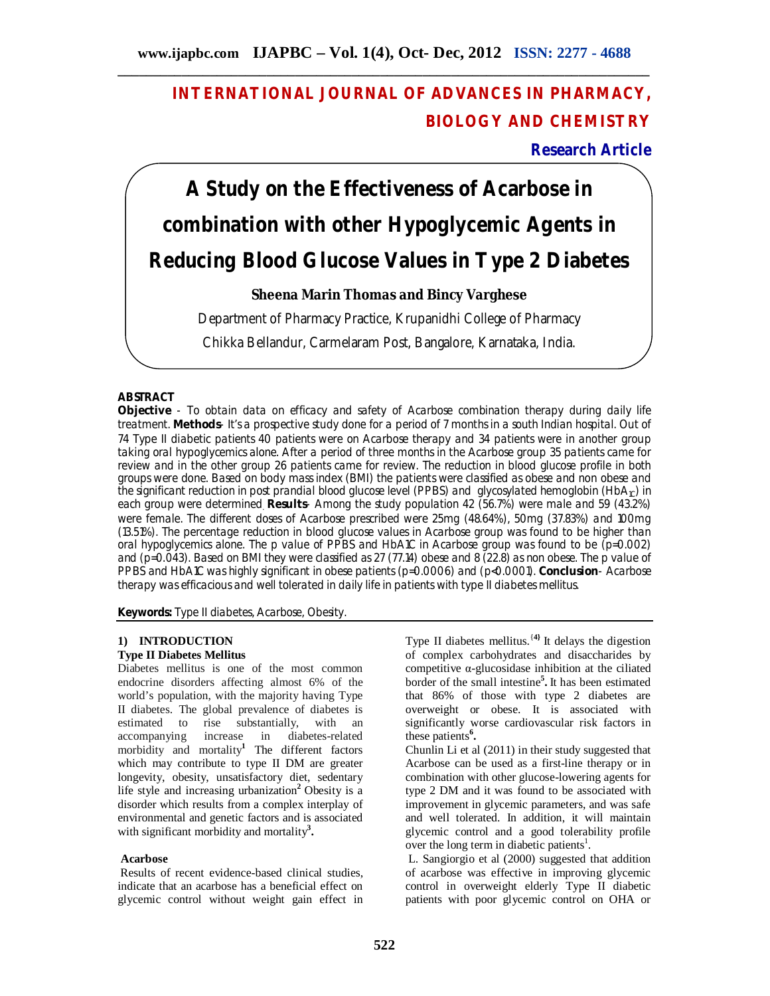# **INTERNATIONAL JOURNAL OF ADVANCES IN PHARMACY, BIOLOGY AND CHEMISTRY**

**Research Article**

# **A Study on the Effectiveness of Acarbose in combination with other Hypoglycemic Agents in Reducing Blood Glucose Values in Type 2 Diabetes**

# **Sheena Marin Thomas and Bincy Varghese**

Department of Pharmacy Practice, Krupanidhi College of Pharmacy

Chikka Bellandur, Carmelaram Post, Bangalore, Karnataka, India.

# **ABSTRACT**

**Objective** - To obtain data on efficacy and safety of Acarbose combination therapy during daily life treatment. **Methods**- It's a prospective study done for a period of 7 months in a south Indian hospital. Out of 74 Type II diabetic patients 40 patients were on Acarbose therapy and 34 patients were in another group taking oral hypoglycemics alone. After a period of three months in the Acarbose group 35 patients came for review and in the other group 26 patients came for review. The reduction in blood glucose profile in both groups were done. Based on body mass index (BMI) the patients were classified as obese and non obese and the significant reduction in post prandial blood glucose level (PPBS) and glycosylated hemoglobin (HbA<sub>1C</sub>) in each group were determined. **Results**- Among the study population 42 (56.7%) were male and 59 (43.2%) were female. The different doses of Acarbose prescribed were 25mg (48.64%), 50mg (37.83%) and 100mg (13.51%). The percentage reduction in blood glucose values in Acarbose group was found to be higher than oral hypoglycemics alone. The p value of PPBS and HbA1C in Acarbose group was found to be (p=0.002) and (p=0.043). Based on BMI they were classified as 27 (77.14) obese and 8 (22.8) as non obese. The p value of PPBS and HbA1C was highly significant in obese patients (p=0.0006) and (p<0.0001). **Conclusion**- Acarbose therapy was efficacious and well tolerated in daily life in patients with type II diabetes mellitus.

**Keywords:** Type II diabetes, Acarbose, Obesity.

#### **1) INTRODUCTION Type II Diabetes Mellitus**

Diabetes mellitus is one of the most common endocrine disorders affecting almost 6% of the world's population, with the majority having Type II diabetes. The global prevalence of diabetes is estimated to rise substantially, with an accompanying increase in diabetes-related morbidity and mortality**<sup>1</sup>** The different factors which may contribute to type II DM are greater longevity, obesity, unsatisfactory diet, sedentary life style and increasing urbanization**<sup>2</sup>** Obesity is a disorder which results from a complex interplay of environmental and genetic factors and is associated with significant morbidity and mortality**<sup>3</sup> .**

#### **Acarbose**

Results of recent evidence-based clinical studies, indicate that an acarbose has a beneficial effect on glycemic control without weight gain effect in

Type II diabetes mellitus.{**4}** It delays the digestion of complex carbohydrates and disaccharides by competitive α-glucosidase inhibition at the ciliated border of the small intestine**<sup>5</sup> .** It has been estimated that 86% of those with type 2 diabetes are overweight or obese. It is associated with significantly worse cardiovascular risk factors in these patients**<sup>6</sup> .**

Chunlin Li et al (2011) in their study suggested that Acarbose can be used as a first-line therapy or in combination with other glucose-lowering agents for type 2 DM and it was found to be associated with improvement in glycemic parameters, and was safe and well tolerated. In addition, it will maintain glycemic control and a good tolerability profile over the long term in diabetic patients<sup>1</sup>.

L. Sangiorgio et al (2000) suggested that addition of acarbose was effective in improving glycemic control in overweight elderly Type II diabetic patients with poor glycemic control on OHA or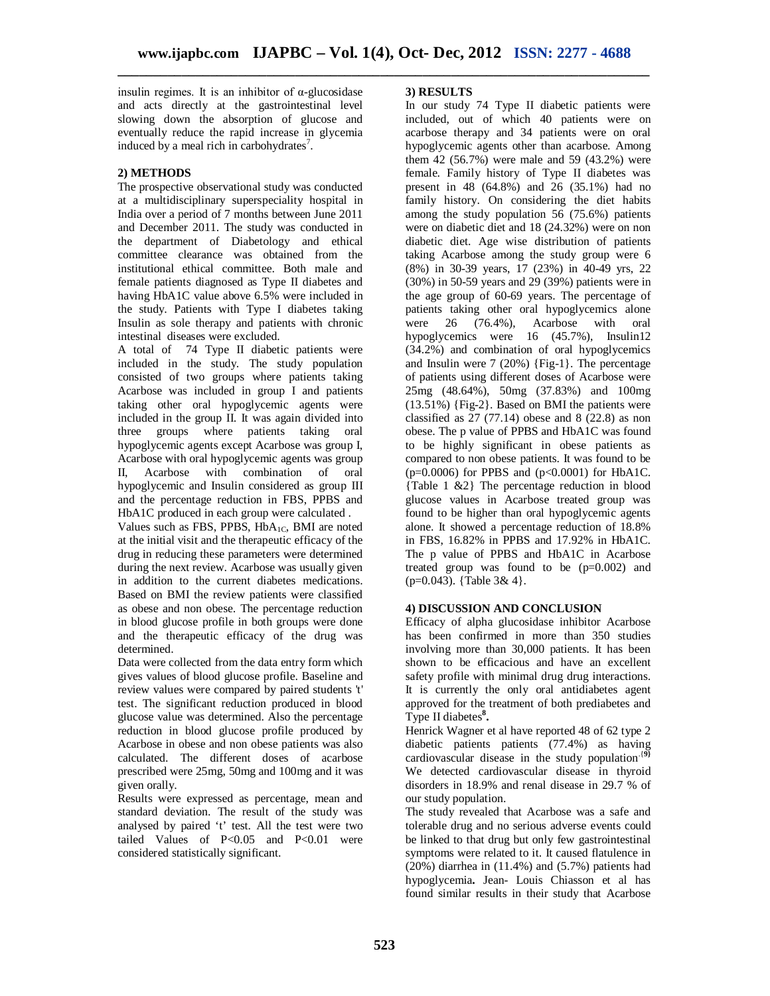insulin regimes. It is an inhibitor of  $\alpha$ -glucosidase and acts directly at the gastrointestinal level slowing down the absorption of glucose and eventually reduce the rapid increase in glycemia induced by a meal rich in carbohydrates<sup>7</sup>.

# **2) METHODS**

The prospective observational study was conducted at a multidisciplinary superspeciality hospital in India over a period of 7 months between June 2011 and December 2011. The study was conducted in the department of Diabetology and ethical committee clearance was obtained from the institutional ethical committee. Both male and female patients diagnosed as Type II diabetes and having HbA1C value above 6.5% were included in the study. Patients with Type I diabetes taking Insulin as sole therapy and patients with chronic intestinal diseases were excluded.

A total of 74 Type II diabetic patients were included in the study. The study population consisted of two groups where patients taking Acarbose was included in group I and patients taking other oral hypoglycemic agents were included in the group II. It was again divided into three groups where patients taking oral hypoglycemic agents except Acarbose was group I, Acarbose with oral hypoglycemic agents was group II, Acarbose with combination of oral hypoglycemic and Insulin considered as group III and the percentage reduction in FBS, PPBS and HbA1C produced in each group were calculated .

Values such as FBS, PPBS, HbA<sub>1C</sub>, BMI are noted at the initial visit and the therapeutic efficacy of the drug in reducing these parameters were determined during the next review. Acarbose was usually given in addition to the current diabetes medications. Based on BMI the review patients were classified as obese and non obese. The percentage reduction in blood glucose profile in both groups were done and the therapeutic efficacy of the drug was determined.

Data were collected from the data entry form which gives values of blood glucose profile. Baseline and review values were compared by paired students 't' test. The significant reduction produced in blood glucose value was determined. Also the percentage reduction in blood glucose profile produced by Acarbose in obese and non obese patients was also calculated. The different doses of acarbose prescribed were 25mg, 50mg and 100mg and it was given orally.

Results were expressed as percentage, mean and standard deviation. The result of the study was analysed by paired 't' test. All the test were two tailed Values of P<0.05 and P<0.01 were considered statistically significant.

# **3) RESULTS**

In our study 74 Type II diabetic patients were included, out of which 40 patients were on acarbose therapy and 34 patients were on oral hypoglycemic agents other than acarbose. Among them 42 (56.7%) were male and 59 (43.2%) were female. Family history of Type II diabetes was present in 48 (64.8%) and 26 (35.1%) had no family history. On considering the diet habits among the study population 56 (75.6%) patients were on diabetic diet and 18 (24.32%) were on non diabetic diet. Age wise distribution of patients taking Acarbose among the study group were 6 (8%) in 30-39 years, 17 (23%) in 40-49 yrs, 22 (30%) in 50-59 years and 29 (39%) patients were in the age group of 60-69 years. The percentage of patients taking other oral hypoglycemics alone were 26 (76.4%), Acarbose with oral hypoglycemics were 16 (45.7%), Insulin12 (34.2%) and combination of oral hypoglycemics and Insulin were 7 (20%) {Fig-1}. The percentage of patients using different doses of Acarbose were 25mg (48.64%), 50mg (37.83%) and 100mg (13.51%) {Fig-2}. Based on BMI the patients were classified as  $27(77.14)$  obese and  $8(22.8)$  as non obese. The p value of PPBS and HbA1C was found to be highly significant in obese patients as compared to non obese patients. It was found to be  $(p=0.0006)$  for PPBS and  $(p<0.0001)$  for HbA1C. {Table 1 &2} The percentage reduction in blood glucose values in Acarbose treated group was found to be higher than oral hypoglycemic agents alone. It showed a percentage reduction of 18.8% in FBS, 16.82% in PPBS and 17.92% in HbA1C. The p value of PPBS and HbA1C in Acarbose treated group was found to be  $(p=0.002)$  and (p=0.043). {Table 3& 4}.

## **4) DISCUSSION AND CONCLUSION**

Efficacy of alpha glucosidase inhibitor Acarbose has been confirmed in more than 350 studies involving more than 30,000 patients. It has been shown to be efficacious and have an excellent safety profile with minimal drug drug interactions. It is currently the only oral antidiabetes agent approved for the treatment of both prediabetes and Type II diabetes**<sup>8</sup> .**

Henrick Wagner et al have reported 48 of 62 type 2 diabetic patients patients (77.4%) as having cardiovascular disease in the study population.{**9}** We detected cardiovascular disease in thyroid disorders in 18.9% and renal disease in 29.7 % of our study population.

The study revealed that Acarbose was a safe and tolerable drug and no serious adverse events could be linked to that drug but only few gastrointestinal symptoms were related to it. It caused flatulence in  $(20\%)$  diarrhea in  $(11.4\%)$  and  $(5.7\%)$  patients had hypoglycemia**.** Jean- Louis Chiasson et al has found similar results in their study that Acarbose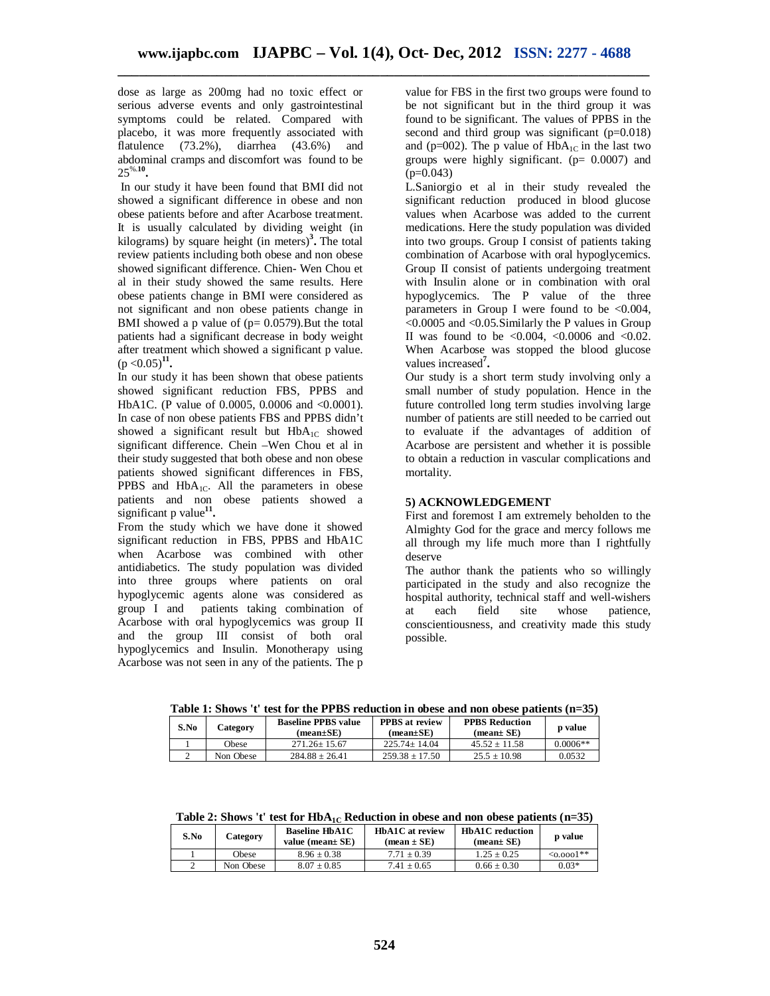dose as large as 200mg had no toxic effect or serious adverse events and only gastrointestinal symptoms could be related. Compared with placebo, it was more frequently associated with flatulence (73.2%), diarrhea (43.6%) and abdominal cramps and discomfort was found to be 25%.**<sup>10</sup> .**

In our study it have been found that BMI did not showed a significant difference in obese and non obese patients before and after Acarbose treatment. It is usually calculated by dividing weight (in kilograms) by square height (in meters)**<sup>3</sup> .** The total review patients including both obese and non obese showed significant difference. Chien- Wen Chou et al in their study showed the same results. Here obese patients change in BMI were considered as not significant and non obese patients change in BMI showed a p value of  $(p= 0.0579)$ . But the total patients had a significant decrease in body weight after treatment which showed a significant p value.  $(p < 0.05)^{11}$ .

In our study it has been shown that obese patients showed significant reduction FBS, PPBS and HbA1C. (P value of 0.0005, 0.0006 and <0.0001). In case of non obese patients FBS and PPBS didn't showed a significant result but  $HbA_{1C}$  showed significant difference. Chein –Wen Chou et al in their study suggested that both obese and non obese patients showed significant differences in FBS, PPBS and  $HbA_{1C}$ . All the parameters in obese patients and non obese patients showed a significant p value**<sup>11</sup> .**

From the study which we have done it showed significant reduction in FBS, PPBS and HbA1C when Acarbose was combined with other antidiabetics. The study population was divided into three groups where patients on oral hypoglycemic agents alone was considered as group I and patients taking combination of Acarbose with oral hypoglycemics was group II and the group III consist of both oral hypoglycemics and Insulin. Monotherapy using Acarbose was not seen in any of the patients. The p

value for FBS in the first two groups were found to be not significant but in the third group it was found to be significant. The values of PPBS in the second and third group was significant (p=0.018) and (p=002). The p value of  $HbA_{1C}$  in the last two groups were highly significant.  $(p= 0.0007)$  and  $(p=0.043)$ 

L.Saniorgio et al in their study revealed the significant reduction produced in blood glucose values when Acarbose was added to the current medications. Here the study population was divided into two groups. Group I consist of patients taking combination of Acarbose with oral hypoglycemics. Group II consist of patients undergoing treatment with Insulin alone or in combination with oral hypoglycemics. The P value of the three parameters in Group I were found to be  $<0.004$ , <0.0005 and <0.05.Similarly the P values in Group II was found to be  $<0.004$ ,  $<0.0006$  and  $<0.02$ . When Acarbose was stopped the blood glucose values increased**<sup>7</sup> .**

Our study is a short term study involving only a small number of study population. Hence in the future controlled long term studies involving large number of patients are still needed to be carried out to evaluate if the advantages of addition of Acarbose are persistent and whether it is possible to obtain a reduction in vascular complications and mortality.

# **5) ACKNOWLEDGEMENT**

First and foremost I am extremely beholden to the Almighty God for the grace and mercy follows me all through my life much more than I rightfully deserve

The author thank the patients who so willingly participated in the study and also recognize the hospital authority, technical staff and well-wishers at each field site whose patience, conscientiousness, and creativity made this study possible.

**Table 1: Shows 't' test for the PPBS reduction in obese and non obese patients (n=35)**

| S.No | Category  | <b>Baseline PPBS value</b><br>(mean±SE) | <b>PPBS</b> at review<br>$(mean \pm SE)$ | <b>PPBS Reduction</b><br>$mean \pm SE$ | <b>p</b> value |
|------|-----------|-----------------------------------------|------------------------------------------|----------------------------------------|----------------|
|      | Obese     | $271.26 + 15.67$                        | $225.74 + 14.04$                         | $45.52 + 11.58$                        | $0.0006**$     |
|      | Non Obese | $284.88 \pm 26.41$                      | $259.38 + 17.50$                         | $25.5 \pm 10.98$                       | 0.0532         |

**Table 2:** Shows 't' test for HbA<sub>1C</sub> Reduction in obese and non obese patients (n=35)

| S.No | Category  | <b>Baseline HbA1C</b><br>value (mean $\pm$ SE) | HbA1C at review<br>$mean \pm SE$ | <b>HbA1C</b> reduction<br>(mean± SE) | <b>p</b> value   |
|------|-----------|------------------------------------------------|----------------------------------|--------------------------------------|------------------|
|      | Obese     | $8.96 + 0.38$                                  | $7.71 + 0.39$                    | $1.25 + 0.25$                        | $\leq 0.0001$ ** |
|      | Non Obese | $8.07 \pm 0.85$                                | $7.41 \pm 0.65$                  | $0.66 \pm 0.30$                      | $0.03*$          |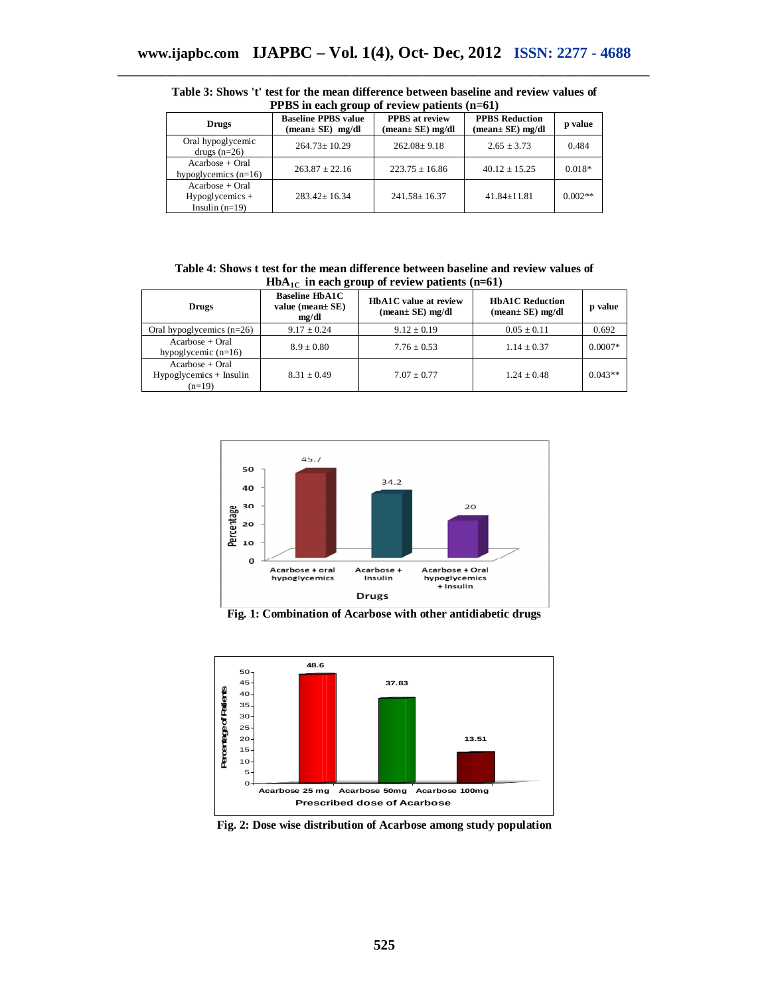| FF DS III each group of review patients (II=01)             |                                                                   |                                                                      |                                                                      |           |  |  |
|-------------------------------------------------------------|-------------------------------------------------------------------|----------------------------------------------------------------------|----------------------------------------------------------------------|-----------|--|--|
| <b>Drugs</b>                                                | <b>Baseline PPBS value</b><br>$(\text{mean} \pm \text{SE})$ mg/dl | <b>PPBS</b> at review<br>$(\text{mean} \pm \text{SE}) \text{ mg/dl}$ | <b>PPBS Reduction</b><br>$(\text{mean} \pm \text{SE}) \text{ mg/dl}$ | p value   |  |  |
| Oral hypoglycemic<br>drugs $(n=26)$                         | $264.73 \pm 10.29$                                                | $262.08 \pm 9.18$                                                    | $2.65 \pm 3.73$                                                      | 0.484     |  |  |
| $Acarbose + Oral$<br>hypoglycemics $(n=16)$                 | $263.87 \pm 22.16$                                                | $223.75 \pm 16.86$                                                   | $40.12 \pm 15.25$                                                    | $0.018*$  |  |  |
| $Acarbose + Oral$<br>$Hypogly$ cemics +<br>Insulin $(n=19)$ | $283.42 \pm 16.34$                                                | $241.58 \pm 16.37$                                                   | $41.84 \pm 11.81$                                                    | $0.002**$ |  |  |

**Table 3:** Shows 't' test for the mean difference between baseline and review values of<br>**PPRS** in each group of review patients (n–61) **PPBS in each group of review patients (n=61)**

**Table 4: Shows t test for the mean difference between baseline and review values of HbA**<sub>1C</sub> in each group of review patients  $(n=61)$ 

| <b>Drugs</b>                                               | <b>Baseline HbA1C</b><br>value (mean $\pm$ SE)<br>mg/dl | HbA1C value at review<br>$(mean± SE)$ mg/dl | <b>HbA1C</b> Reduction<br>$(mean \pm SE)$ mg/dl | p value   |
|------------------------------------------------------------|---------------------------------------------------------|---------------------------------------------|-------------------------------------------------|-----------|
| Oral hypoglycemics $(n=26)$                                | $9.17 \pm 0.24$                                         | $9.12 \pm 0.19$                             | $0.05 \pm 0.11$                                 | 0.692     |
| $Acarbose + Oral$<br>hypoglycemic $(n=16)$                 | $8.9 \pm 0.80$                                          | $7.76 \pm 0.53$                             | $1.14 \pm 0.37$                                 | $0.0007*$ |
| $Acarbose + Oral$<br>$Hypoglycemics + Insulin$<br>$(n=19)$ | $8.31 + 0.49$                                           | $7.07 + 0.77$                               | $1.24 \pm 0.48$                                 | $0.043**$ |



**Fig. 1: Combination of Acarbose with other antidiabetic drugs**



**Fig. 2: Dose wise distribution of Acarbose among study population**